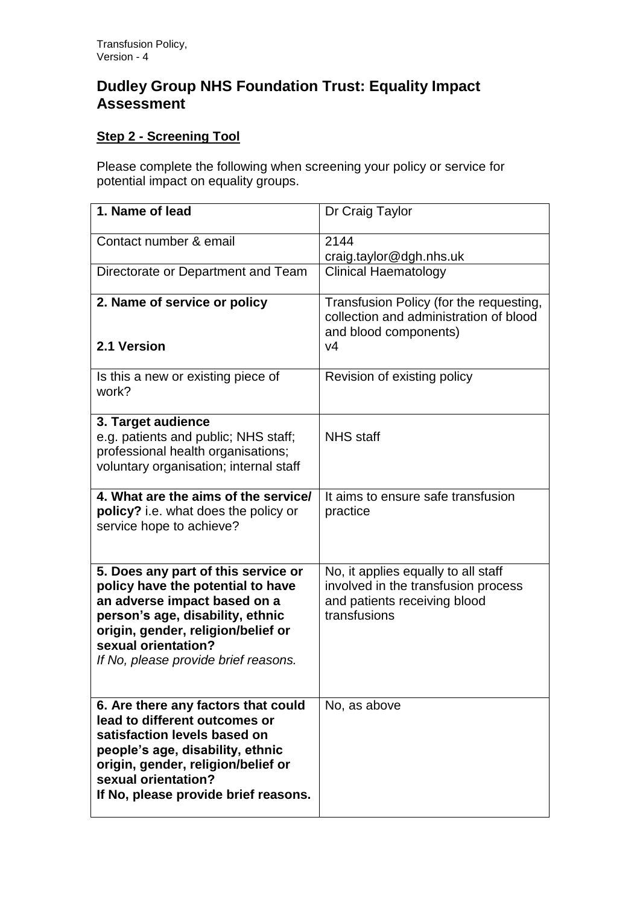## **Dudley Group NHS Foundation Trust: Equality Impact Assessment**

## **Step 2 - Screening Tool**

Please complete the following when screening your policy or service for potential impact on equality groups.

| 1. Name of lead                                                                                                                                                                                                                                   | Dr Craig Taylor                                                                                                            |
|---------------------------------------------------------------------------------------------------------------------------------------------------------------------------------------------------------------------------------------------------|----------------------------------------------------------------------------------------------------------------------------|
| Contact number & email                                                                                                                                                                                                                            | 2144<br>craig.taylor@dgh.nhs.uk                                                                                            |
| Directorate or Department and Team                                                                                                                                                                                                                | <b>Clinical Haematology</b>                                                                                                |
| 2. Name of service or policy                                                                                                                                                                                                                      | Transfusion Policy (for the requesting,<br>collection and administration of blood                                          |
| 2.1 Version                                                                                                                                                                                                                                       | and blood components)<br>V <sub>4</sub>                                                                                    |
| Is this a new or existing piece of<br>work?                                                                                                                                                                                                       | Revision of existing policy                                                                                                |
| 3. Target audience<br>e.g. patients and public; NHS staff;<br>professional health organisations;<br>voluntary organisation; internal staff                                                                                                        | <b>NHS</b> staff                                                                                                           |
| 4. What are the aims of the service/<br>policy? i.e. what does the policy or<br>service hope to achieve?                                                                                                                                          | It aims to ensure safe transfusion<br>practice                                                                             |
| 5. Does any part of this service or<br>policy have the potential to have<br>an adverse impact based on a<br>person's age, disability, ethnic<br>origin, gender, religion/belief or<br>sexual orientation?<br>If No, please provide brief reasons. | No, it applies equally to all staff<br>involved in the transfusion process<br>and patients receiving blood<br>transfusions |
| 6. Are there any factors that could<br>lead to different outcomes or<br>satisfaction levels based on<br>people's age, disability, ethnic<br>origin, gender, religion/belief or<br>sexual orientation?<br>If No, please provide brief reasons.     | No, as above                                                                                                               |